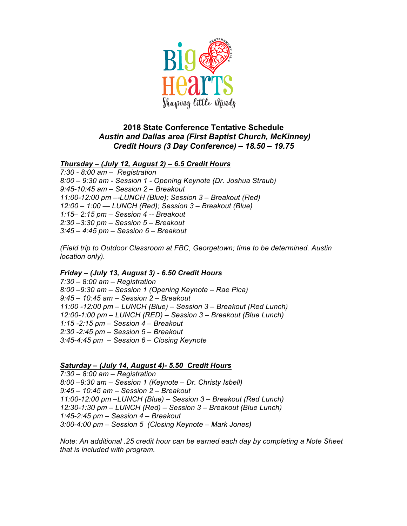

## **2018 State Conference Tentative Schedule** *Austin and Dallas area (First Baptist Church, McKinney) Credit Hours (3 Day Conference) – 18.50 – 19.75*

*Thursday – (July 12, August 2) – 6.5 Credit Hours*

*7:30 - 8:00 am – Registration 8:00 – 9:30 am - Session 1 - Opening Keynote (Dr. Joshua Straub) 9:45-10:45 am – Session 2 – Breakout 11:00-12:00 pm –-LUNCH (Blue); Session 3 – Breakout (Red) 12:00 – 1:00 — LUNCH (Red); Session 3 – Breakout (Blue) 1:15– 2:15 pm – Session 4 -- Breakout 2:30 –3:30 pm – Session 5 – Breakout 3:45 – 4:45 pm – Session 6 – Breakout*

*(Field trip to Outdoor Classroom at FBC, Georgetown; time to be determined. Austin location only).* 

## *Friday – (July 13, August 3) - 6.50 Credit Hours*

*7:30 – 8:00 am – Registration 8:00 –9:30 am – Session 1 (Opening Keynote – Rae Pica) 9:45 – 10:45 am – Session 2 – Breakout 11:00 -12:00 pm – LUNCH (Blue) – Session 3 – Breakout (Red Lunch) 12:00-1:00 pm – LUNCH (RED) – Session 3 – Breakout (Blue Lunch) 1:15 -2:15 pm – Session 4 – Breakout 2:30 -2:45 pm – Session 5 – Breakout 3:45-4:45 pm – Session 6 – Closing Keynote* 

*Saturday – (July 14, August 4)- 5.50 Credit Hours*

*7:30 – 8:00 am – Registration 8:00 –9:30 am – Session 1 (Keynote – Dr. Christy Isbell) 9:45 – 10:45 am – Session 2 – Breakout 11:00-12:00 pm –LUNCH (Blue) – Session 3 – Breakout (Red Lunch) 12:30-1:30 pm – LUNCH (Red) – Session 3 – Breakout (Blue Lunch) 1:45-2:45 pm – Session 4 – Breakout 3:00-4:00 pm – Session 5 (Closing Keynote – Mark Jones)*

*Note: An additional .25 credit hour can be earned each day by completing a Note Sheet that is included with program.*